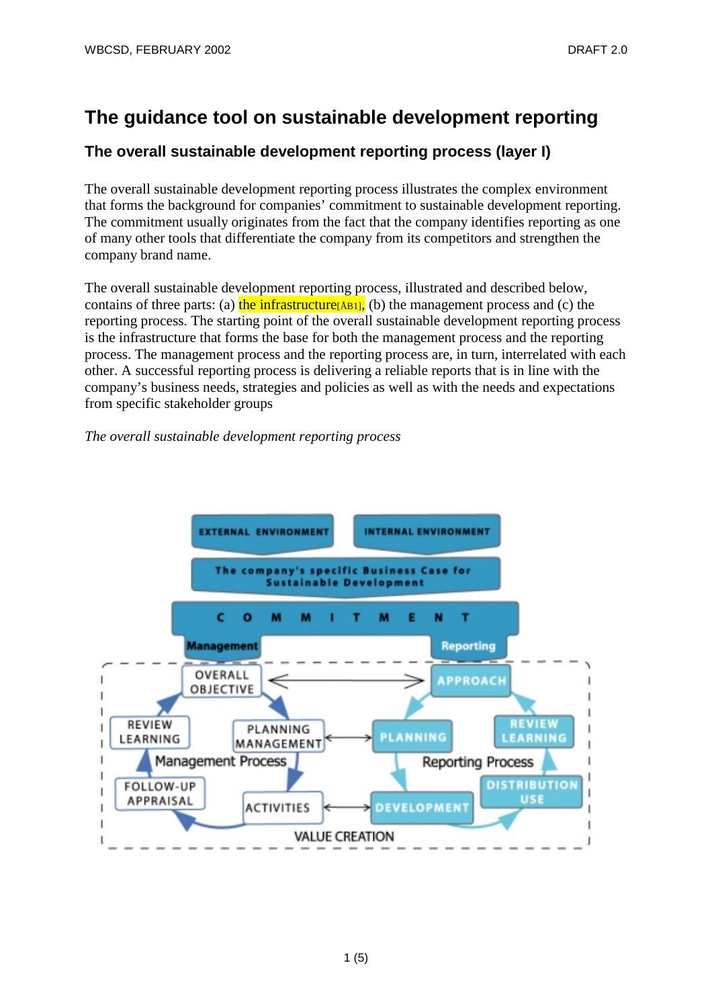# **The guidance tool on sustainable development reporting**

## **The overall sustainable development reporting process (layer I)**

The overall sustainable development reporting process illustrates the complex environment that forms the background for companies' commitment to sustainable development reporting. The commitment usually originates from the fact that the company identifies reporting as one of many other tools that differentiate the company from its competitors and strengthen the company brand name.

The overall sustainable development reporting process, illustrated and described below, contains of three parts: (a) the infrastructure  $\beta$ B<sub>1</sub>], (b) the management process and (c) the reporting process. The starting point of the overall sustainable development reporting process is the infrastructure that forms the base for both the management process and the reporting process. The management process and the reporting process are, in turn, interrelated with each other. A successful reporting process is delivering a reliable reports that is in line with the company's business needs, strategies and policies as well as with the needs and expectations from specific stakeholder groups

### *The overall sustainable development reporting process*

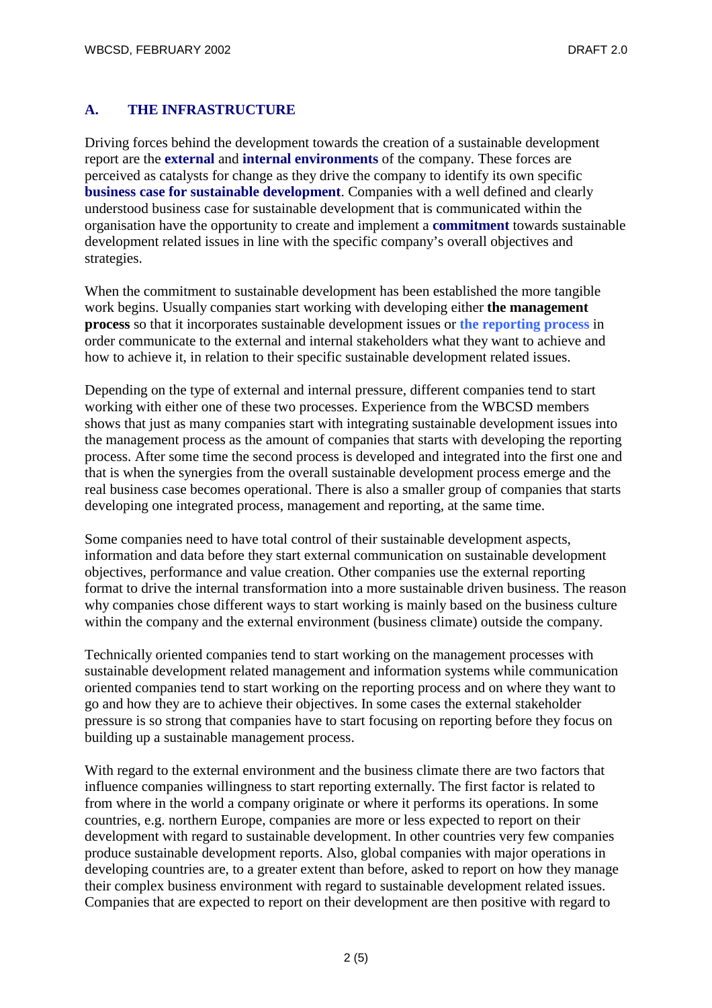### **A. THE INFRASTRUCTURE**

Driving forces behind the development towards the creation of a sustainable development report are the **external** and **internal environments** of the company. These forces are perceived as catalysts for change as they drive the company to identify its own specific **business case for sustainable development**. Companies with a well defined and clearly understood business case for sustainable development that is communicated within the organisation have the opportunity to create and implement a **commitment** towards sustainable development related issues in line with the specific company's overall objectives and strategies.

When the commitment to sustainable development has been established the more tangible work begins. Usually companies start working with developing either **the management process** so that it incorporates sustainable development issues or **the reporting process** in order communicate to the external and internal stakeholders what they want to achieve and how to achieve it, in relation to their specific sustainable development related issues.

Depending on the type of external and internal pressure, different companies tend to start working with either one of these two processes. Experience from the WBCSD members shows that just as many companies start with integrating sustainable development issues into the management process as the amount of companies that starts with developing the reporting process. After some time the second process is developed and integrated into the first one and that is when the synergies from the overall sustainable development process emerge and the real business case becomes operational. There is also a smaller group of companies that starts developing one integrated process, management and reporting, at the same time.

Some companies need to have total control of their sustainable development aspects, information and data before they start external communication on sustainable development objectives, performance and value creation. Other companies use the external reporting format to drive the internal transformation into a more sustainable driven business. The reason why companies chose different ways to start working is mainly based on the business culture within the company and the external environment (business climate) outside the company.

Technically oriented companies tend to start working on the management processes with sustainable development related management and information systems while communication oriented companies tend to start working on the reporting process and on where they want to go and how they are to achieve their objectives. In some cases the external stakeholder pressure is so strong that companies have to start focusing on reporting before they focus on building up a sustainable management process.

With regard to the external environment and the business climate there are two factors that influence companies willingness to start reporting externally. The first factor is related to from where in the world a company originate or where it performs its operations. In some countries, e.g. northern Europe, companies are more or less expected to report on their development with regard to sustainable development. In other countries very few companies produce sustainable development reports. Also, global companies with major operations in developing countries are, to a greater extent than before, asked to report on how they manage their complex business environment with regard to sustainable development related issues. Companies that are expected to report on their development are then positive with regard to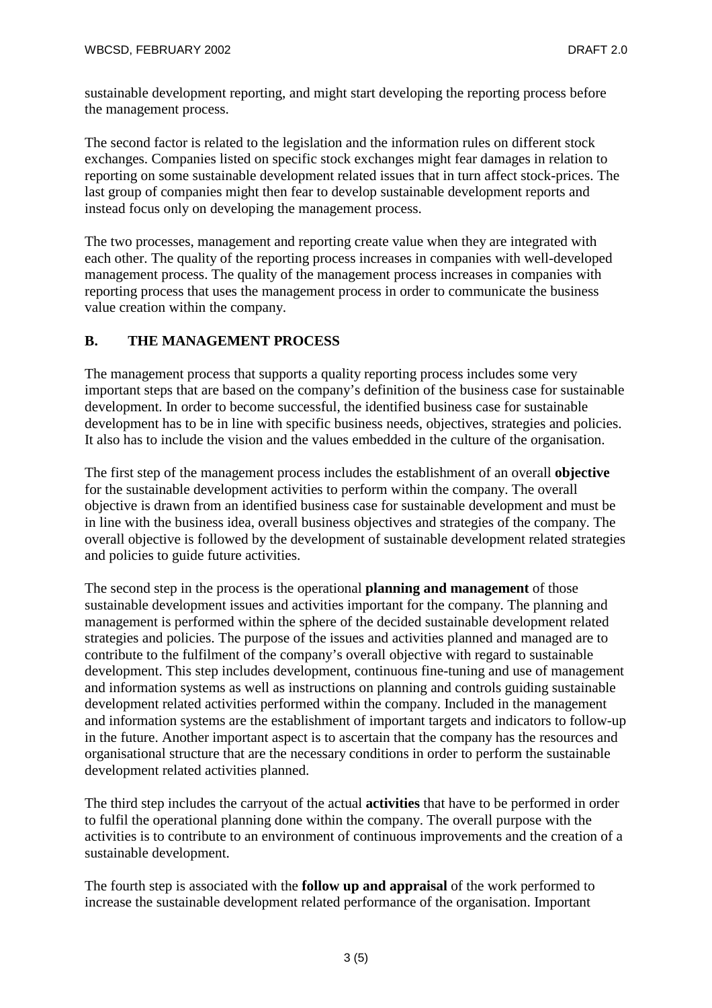sustainable development reporting, and might start developing the reporting process before the management process.

The second factor is related to the legislation and the information rules on different stock exchanges. Companies listed on specific stock exchanges might fear damages in relation to reporting on some sustainable development related issues that in turn affect stock-prices. The last group of companies might then fear to develop sustainable development reports and instead focus only on developing the management process.

The two processes, management and reporting create value when they are integrated with each other. The quality of the reporting process increases in companies with well-developed management process. The quality of the management process increases in companies with reporting process that uses the management process in order to communicate the business value creation within the company.

#### **B. THE MANAGEMENT PROCESS**

The management process that supports a quality reporting process includes some very important steps that are based on the company's definition of the business case for sustainable development. In order to become successful, the identified business case for sustainable development has to be in line with specific business needs, objectives, strategies and policies. It also has to include the vision and the values embedded in the culture of the organisation.

The first step of the management process includes the establishment of an overall **objective** for the sustainable development activities to perform within the company. The overall objective is drawn from an identified business case for sustainable development and must be in line with the business idea, overall business objectives and strategies of the company. The overall objective is followed by the development of sustainable development related strategies and policies to guide future activities.

The second step in the process is the operational **planning and management** of those sustainable development issues and activities important for the company. The planning and management is performed within the sphere of the decided sustainable development related strategies and policies. The purpose of the issues and activities planned and managed are to contribute to the fulfilment of the company's overall objective with regard to sustainable development. This step includes development, continuous fine-tuning and use of management and information systems as well as instructions on planning and controls guiding sustainable development related activities performed within the company. Included in the management and information systems are the establishment of important targets and indicators to follow-up in the future. Another important aspect is to ascertain that the company has the resources and organisational structure that are the necessary conditions in order to perform the sustainable development related activities planned.

The third step includes the carryout of the actual **activities** that have to be performed in order to fulfil the operational planning done within the company. The overall purpose with the activities is to contribute to an environment of continuous improvements and the creation of a sustainable development.

The fourth step is associated with the **follow up and appraisal** of the work performed to increase the sustainable development related performance of the organisation. Important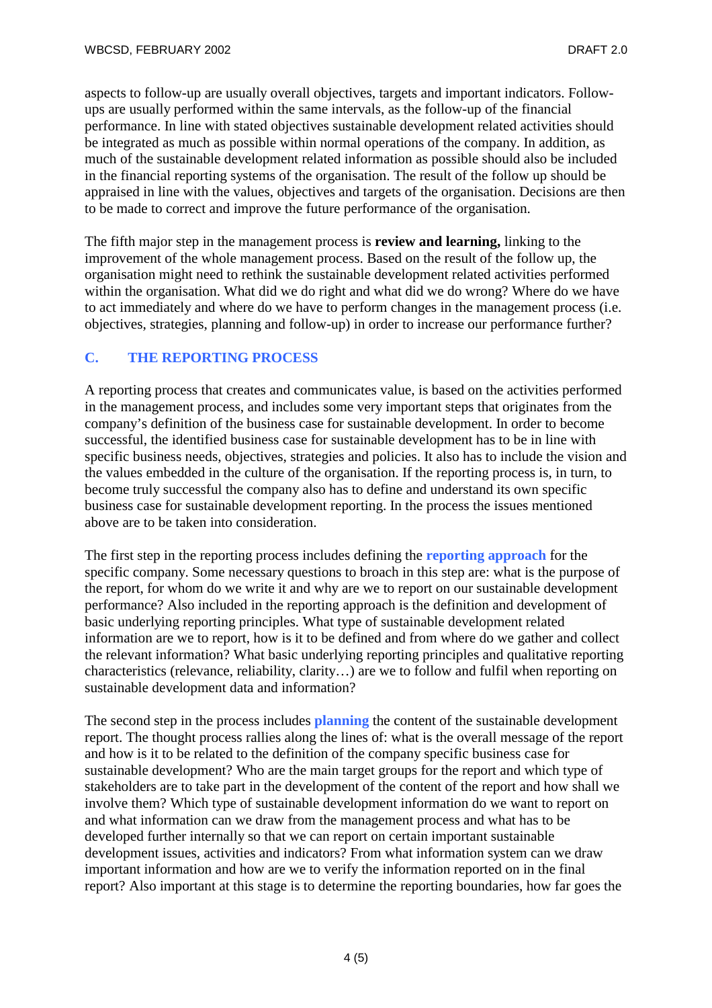aspects to follow-up are usually overall objectives, targets and important indicators. Followups are usually performed within the same intervals, as the follow-up of the financial performance. In line with stated objectives sustainable development related activities should be integrated as much as possible within normal operations of the company. In addition, as much of the sustainable development related information as possible should also be included in the financial reporting systems of the organisation. The result of the follow up should be appraised in line with the values, objectives and targets of the organisation. Decisions are then to be made to correct and improve the future performance of the organisation.

The fifth major step in the management process is **review and learning,** linking to the improvement of the whole management process. Based on the result of the follow up, the organisation might need to rethink the sustainable development related activities performed within the organisation. What did we do right and what did we do wrong? Where do we have to act immediately and where do we have to perform changes in the management process (i.e. objectives, strategies, planning and follow-up) in order to increase our performance further?

#### **C. THE REPORTING PROCESS**

A reporting process that creates and communicates value, is based on the activities performed in the management process, and includes some very important steps that originates from the company's definition of the business case for sustainable development. In order to become successful, the identified business case for sustainable development has to be in line with specific business needs, objectives, strategies and policies. It also has to include the vision and the values embedded in the culture of the organisation. If the reporting process is, in turn, to become truly successful the company also has to define and understand its own specific business case for sustainable development reporting. In the process the issues mentioned above are to be taken into consideration.

The first step in the reporting process includes defining the **reporting approach** for the specific company. Some necessary questions to broach in this step are: what is the purpose of the report, for whom do we write it and why are we to report on our sustainable development performance? Also included in the reporting approach is the definition and development of basic underlying reporting principles. What type of sustainable development related information are we to report, how is it to be defined and from where do we gather and collect the relevant information? What basic underlying reporting principles and qualitative reporting characteristics (relevance, reliability, clarity…) are we to follow and fulfil when reporting on sustainable development data and information?

The second step in the process includes **planning** the content of the sustainable development report. The thought process rallies along the lines of: what is the overall message of the report and how is it to be related to the definition of the company specific business case for sustainable development? Who are the main target groups for the report and which type of stakeholders are to take part in the development of the content of the report and how shall we involve them? Which type of sustainable development information do we want to report on and what information can we draw from the management process and what has to be developed further internally so that we can report on certain important sustainable development issues, activities and indicators? From what information system can we draw important information and how are we to verify the information reported on in the final report? Also important at this stage is to determine the reporting boundaries, how far goes the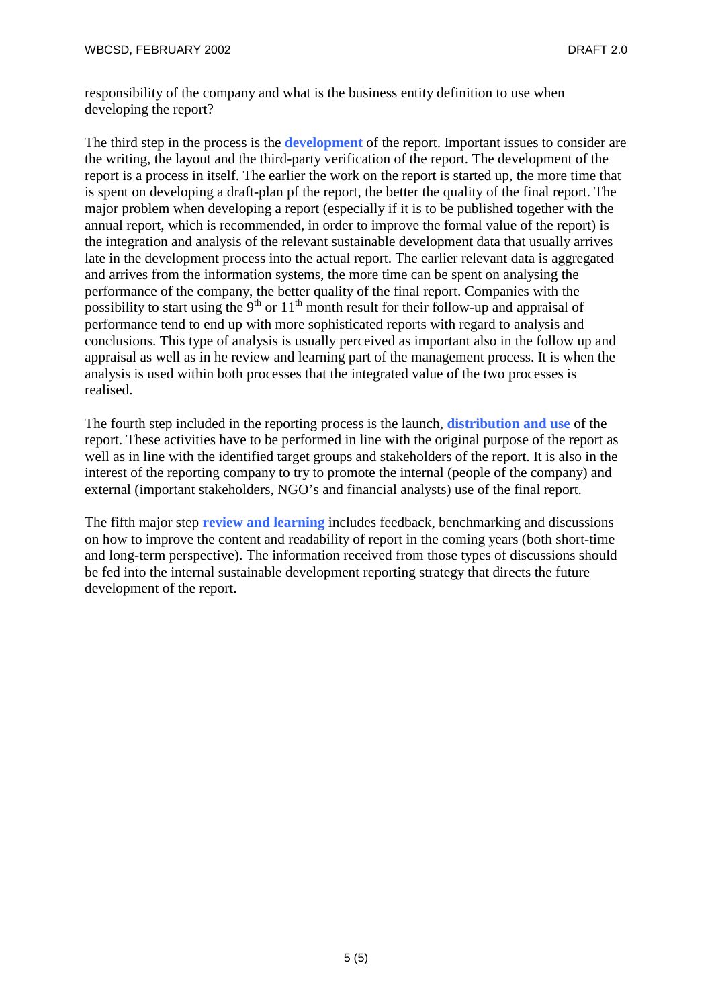responsibility of the company and what is the business entity definition to use when developing the report?

The third step in the process is the **development** of the report. Important issues to consider are the writing, the layout and the third-party verification of the report. The development of the report is a process in itself. The earlier the work on the report is started up, the more time that is spent on developing a draft-plan pf the report, the better the quality of the final report. The major problem when developing a report (especially if it is to be published together with the annual report, which is recommended, in order to improve the formal value of the report) is the integration and analysis of the relevant sustainable development data that usually arrives late in the development process into the actual report. The earlier relevant data is aggregated and arrives from the information systems, the more time can be spent on analysing the performance of the company, the better quality of the final report. Companies with the possibility to start using the  $9<sup>th</sup>$  or  $11<sup>th</sup>$  month result for their follow-up and appraisal of performance tend to end up with more sophisticated reports with regard to analysis and conclusions. This type of analysis is usually perceived as important also in the follow up and appraisal as well as in he review and learning part of the management process. It is when the analysis is used within both processes that the integrated value of the two processes is realised.

The fourth step included in the reporting process is the launch, **distribution and use** of the report. These activities have to be performed in line with the original purpose of the report as well as in line with the identified target groups and stakeholders of the report. It is also in the interest of the reporting company to try to promote the internal (people of the company) and external (important stakeholders, NGO's and financial analysts) use of the final report.

The fifth major step **review and learning** includes feedback, benchmarking and discussions on how to improve the content and readability of report in the coming years (both short-time and long-term perspective). The information received from those types of discussions should be fed into the internal sustainable development reporting strategy that directs the future development of the report.